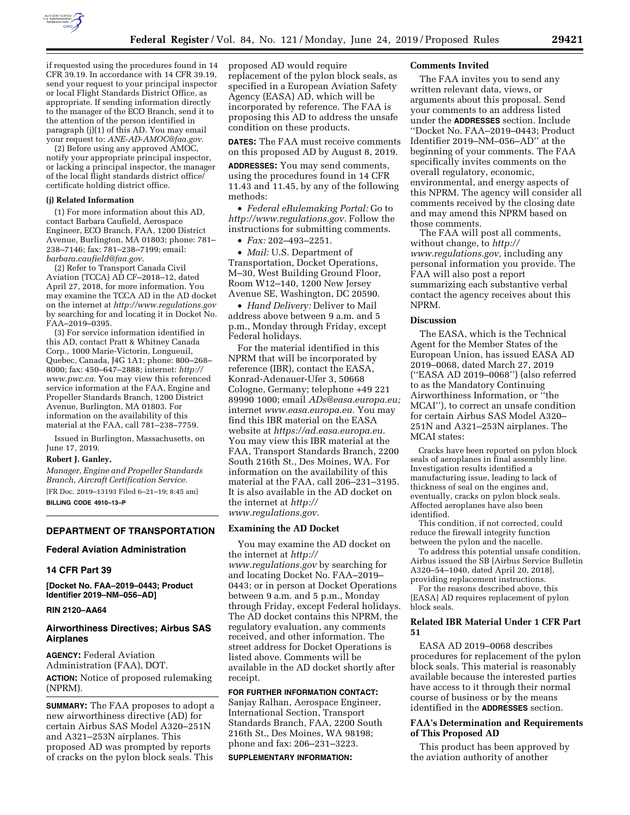

if requested using the procedures found in 14 CFR 39.19. In accordance with 14 CFR 39.19, send your request to your principal inspector or local Flight Standards District Office, as appropriate. If sending information directly to the manager of the ECO Branch, send it to the attention of the person identified in paragraph (j)(1) of this AD. You may email your request to: *[ANE-AD-AMOC@faa.gov.](mailto:ANE-AD-AMOC@faa.gov)* 

(2) Before using any approved AMOC, notify your appropriate principal inspector, or lacking a principal inspector, the manager of the local flight standards district office/ certificate holding district office.

### **(j) Related Information**

(1) For more information about this AD, contact Barbara Caufield, Aerospace Engineer, ECO Branch, FAA, 1200 District Avenue, Burlington, MA 01803; phone: 781– 238–7146; fax: 781–238–7199; email: *[barbara.caufield@faa.gov.](mailto:barbara.caufield@faa.gov)* 

(2) Refer to Transport Canada Civil Aviation (TCCA) AD CF–2018–12, dated April 27, 2018, for more information. You may examine the TCCA AD in the AD docket on the internet at *<http://www.regulations.gov>*  by searching for and locating it in Docket No. FAA–2019–0395.

(3) For service information identified in this AD, contact Pratt & Whitney Canada Corp., 1000 Marie-Victorin, Longueuil, Quebec, Canada, J4G 1A1; phone: 800–268– 8000; fax: 450–647–2888; internet: *[http://](http://www.pwc.ca) [www.pwc.ca.](http://www.pwc.ca)* You may view this referenced service information at the FAA, Engine and Propeller Standards Branch, 1200 District Avenue, Burlington, MA 01803. For information on the availability of this material at the FAA, call 781–238–7759.

Issued in Burlington, Massachusetts, on June 17, 2019.

### **Robert J. Ganley,**

*Manager, Engine and Propeller Standards Branch, Aircraft Certification Service.*  [FR Doc. 2019–13193 Filed 6–21–19; 8:45 am]

**BILLING CODE 4910–13–P** 

#### **DEPARTMENT OF TRANSPORTATION**

## **Federal Aviation Administration**

## **14 CFR Part 39**

**[Docket No. FAA–2019–0443; Product Identifier 2019–NM–056–AD]** 

#### **RIN 2120–AA64**

## **Airworthiness Directives; Airbus SAS Airplanes**

**AGENCY:** Federal Aviation Administration (FAA), DOT. **ACTION:** Notice of proposed rulemaking (NPRM).

**SUMMARY:** The FAA proposes to adopt a new airworthiness directive (AD) for certain Airbus SAS Model A320–251N and A321–253N airplanes. This proposed AD was prompted by reports of cracks on the pylon block seals. This

proposed AD would require replacement of the pylon block seals, as specified in a European Aviation Safety Agency (EASA) AD, which will be incorporated by reference. The FAA is proposing this AD to address the unsafe condition on these products.

**DATES:** The FAA must receive comments on this proposed AD by August 8, 2019.

**ADDRESSES:** You may send comments, using the procedures found in 14 CFR 11.43 and 11.45, by any of the following methods:

• *Federal eRulemaking Portal:* Go to *[http://www.regulations.gov.](http://www.regulations.gov)* Follow the instructions for submitting comments.

• *Fax:* 202–493–2251.

• *Mail:* U.S. Department of Transportation, Docket Operations, M–30, West Building Ground Floor, Room W12–140, 1200 New Jersey Avenue SE, Washington, DC 20590.

• *Hand Delivery:* Deliver to Mail address above between 9 a.m. and 5 p.m., Monday through Friday, except Federal holidays.

For the material identified in this NPRM that will be incorporated by reference (IBR), contact the EASA, Konrad-Adenauer-Ufer 3, 50668 Cologne, Germany; telephone +49 221 89990 1000; email *[ADs@easa.europa.eu;](mailto:ADs@easa.europa.eu)*  internet *[www.easa.europa.eu.](http://www.easa.europa.eu)* You may find this IBR material on the EASA website at *[https://ad.easa.europa.eu.](https://ad.easa.europa.eu)*  You may view this IBR material at the FAA, Transport Standards Branch, 2200 South 216th St., Des Moines, WA. For information on the availability of this material at the FAA, call 206–231–3195. It is also available in the AD docket on the internet at *[http://](http://www.regulations.gov) [www.regulations.gov.](http://www.regulations.gov)* 

#### **Examining the AD Docket**

You may examine the AD docket on the internet at *[http://](http://www.regulations.gov) [www.regulations.gov](http://www.regulations.gov)* by searching for and locating Docket No. FAA–2019– 0443; or in person at Docket Operations between 9 a.m. and 5 p.m., Monday through Friday, except Federal holidays. The AD docket contains this NPRM, the regulatory evaluation, any comments received, and other information. The street address for Docket Operations is listed above. Comments will be available in the AD docket shortly after receipt.

**FOR FURTHER INFORMATION CONTACT:**  Sanjay Ralhan, Aerospace Engineer, International Section, Transport Standards Branch, FAA, 2200 South 216th St., Des Moines, WA 98198; phone and fax: 206–231–3223.

#### **SUPPLEMENTARY INFORMATION:**

### **Comments Invited**

The FAA invites you to send any written relevant data, views, or arguments about this proposal. Send your comments to an address listed under the **ADDRESSES** section. Include ''Docket No. FAA–2019–0443; Product Identifier 2019–NM–056–AD'' at the beginning of your comments. The FAA specifically invites comments on the overall regulatory, economic, environmental, and energy aspects of this NPRM. The agency will consider all comments received by the closing date and may amend this NPRM based on those comments.

The FAA will post all comments, without change, to *[http://](http://www.regulations.gov) [www.regulations.gov,](http://www.regulations.gov)* including any personal information you provide. The FAA will also post a report summarizing each substantive verbal contact the agency receives about this NPRM.

### **Discussion**

The EASA, which is the Technical Agent for the Member States of the European Union, has issued EASA AD 2019–0068, dated March 27, 2019 (''EASA AD 2019–0068'') (also referred to as the Mandatory Continuing Airworthiness Information, or ''the MCAI''), to correct an unsafe condition for certain Airbus SAS Model A320– 251N and A321–253N airplanes. The MCAI states:

Cracks have been reported on pylon block seals of aeroplanes in final assembly line. Investigation results identified a manufacturing issue, leading to lack of thickness of seal on the engines and, eventually, cracks on pylon block seals. Affected aeroplanes have also been identified.

This condition, if not corrected, could reduce the firewall integrity function between the pylon and the nacelle.

To address this potential unsafe condition, Airbus issued the SB [Airbus Service Bulletin A320–54–1040, dated April 20, 2018], providing replacement instructions.

For the reasons described above, this [EASA] AD requires replacement of pylon block seals.

## **Related IBR Material Under 1 CFR Part 51**

EASA AD 2019–0068 describes procedures for replacement of the pylon block seals. This material is reasonably available because the interested parties have access to it through their normal course of business or by the means identified in the **ADDRESSES** section.

## **FAA's Determination and Requirements of This Proposed AD**

This product has been approved by the aviation authority of another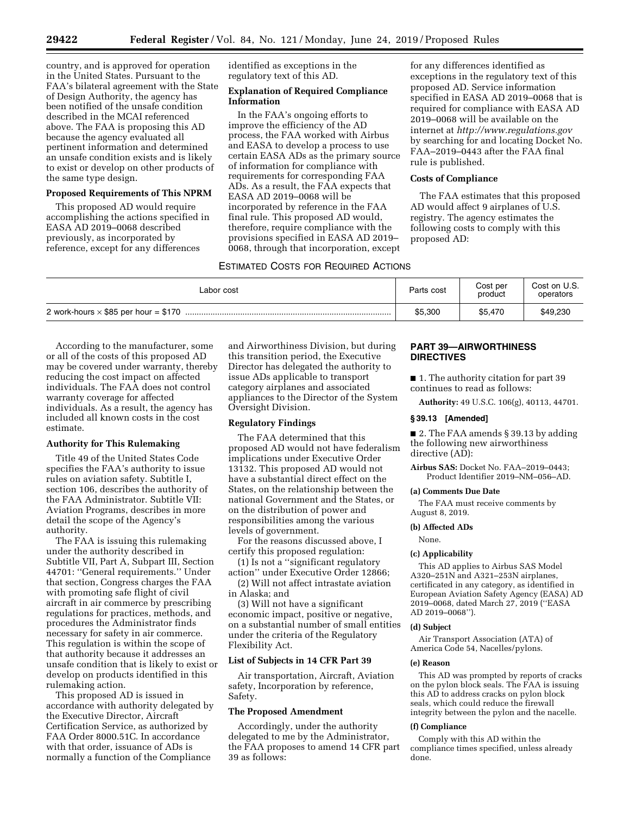country, and is approved for operation in the United States. Pursuant to the FAA's bilateral agreement with the State of Design Authority, the agency has been notified of the unsafe condition described in the MCAI referenced above. The FAA is proposing this AD because the agency evaluated all pertinent information and determined an unsafe condition exists and is likely to exist or develop on other products of the same type design.

## **Proposed Requirements of This NPRM**

This proposed AD would require accomplishing the actions specified in EASA AD 2019–0068 described previously, as incorporated by reference, except for any differences

identified as exceptions in the regulatory text of this AD.

## **Explanation of Required Compliance Information**

In the FAA's ongoing efforts to improve the efficiency of the AD process, the FAA worked with Airbus and EASA to develop a process to use certain EASA ADs as the primary source of information for compliance with requirements for corresponding FAA ADs. As a result, the FAA expects that EASA AD 2019–0068 will be incorporated by reference in the FAA final rule. This proposed AD would, therefore, require compliance with the provisions specified in EASA AD 2019– 0068, through that incorporation, except

# ESTIMATED COSTS FOR REQUIRED ACTIONS

for any differences identified as exceptions in the regulatory text of this proposed AD. Service information specified in EASA AD 2019–0068 that is required for compliance with EASA AD 2019–0068 will be available on the internet at *<http://www.regulations.gov>*  by searching for and locating Docket No. FAA–2019–0443 after the FAA final rule is published.

#### **Costs of Compliance**

The FAA estimates that this proposed AD would affect 9 airplanes of U.S. registry. The agency estimates the following costs to comply with this proposed AD:

| Labor cost | Parts cost | Cost per<br>product | Cost on U.S.<br>operators |
|------------|------------|---------------------|---------------------------|
|            | \$5,300    | \$5.470             | \$49,230                  |

According to the manufacturer, some or all of the costs of this proposed AD may be covered under warranty, thereby reducing the cost impact on affected individuals. The FAA does not control warranty coverage for affected individuals. As a result, the agency has included all known costs in the cost estimate.

### **Authority for This Rulemaking**

Title 49 of the United States Code specifies the FAA's authority to issue rules on aviation safety. Subtitle I, section 106, describes the authority of the FAA Administrator. Subtitle VII: Aviation Programs, describes in more detail the scope of the Agency's authority.

The FAA is issuing this rulemaking under the authority described in Subtitle VII, Part A, Subpart III, Section 44701: ''General requirements.'' Under that section, Congress charges the FAA with promoting safe flight of civil aircraft in air commerce by prescribing regulations for practices, methods, and procedures the Administrator finds necessary for safety in air commerce. This regulation is within the scope of that authority because it addresses an unsafe condition that is likely to exist or develop on products identified in this rulemaking action.

This proposed AD is issued in accordance with authority delegated by the Executive Director, Aircraft Certification Service, as authorized by FAA Order 8000.51C. In accordance with that order, issuance of ADs is normally a function of the Compliance

and Airworthiness Division, but during this transition period, the Executive Director has delegated the authority to issue ADs applicable to transport category airplanes and associated appliances to the Director of the System Oversight Division.

### **Regulatory Findings**

The FAA determined that this proposed AD would not have federalism implications under Executive Order 13132. This proposed AD would not have a substantial direct effect on the States, on the relationship between the national Government and the States, or on the distribution of power and responsibilities among the various levels of government.

For the reasons discussed above, I certify this proposed regulation:

(1) Is not a ''significant regulatory action'' under Executive Order 12866;

(2) Will not affect intrastate aviation in Alaska; and

(3) Will not have a significant economic impact, positive or negative, on a substantial number of small entities under the criteria of the Regulatory Flexibility Act.

## **List of Subjects in 14 CFR Part 39**

Air transportation, Aircraft, Aviation safety, Incorporation by reference, Safety.

## **The Proposed Amendment**

Accordingly, under the authority delegated to me by the Administrator, the FAA proposes to amend 14 CFR part 39 as follows:

# **PART 39—AIRWORTHINESS DIRECTIVES**

■ 1. The authority citation for part 39 continues to read as follows:

**Authority:** 49 U.S.C. 106(g), 40113, 44701.

# **§ 39.13 [Amended]**

■ 2. The FAA amends § 39.13 by adding the following new airworthiness directive (AD):

**Airbus SAS:** Docket No. FAA–2019–0443; Product Identifier 2019–NM–056–AD.

### **(a) Comments Due Date**

The FAA must receive comments by August 8, 2019.

#### **(b) Affected ADs**

None.

### **(c) Applicability**

This AD applies to Airbus SAS Model A320–251N and A321–253N airplanes, certificated in any category, as identified in European Aviation Safety Agency (EASA) AD 2019–0068, dated March 27, 2019 (''EASA AD 2019–0068'').

#### **(d) Subject**

Air Transport Association (ATA) of America Code 54, Nacelles/pylons.

#### **(e) Reason**

This AD was prompted by reports of cracks on the pylon block seals. The FAA is issuing this AD to address cracks on pylon block seals, which could reduce the firewall integrity between the pylon and the nacelle.

#### **(f) Compliance**

Comply with this AD within the compliance times specified, unless already done.